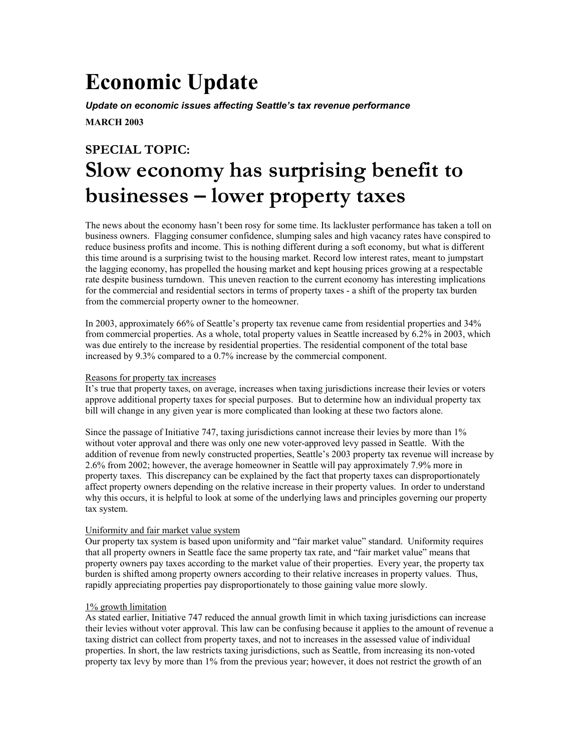# **Economic Update**

*Update on economic issues affecting Seattle's tax revenue performance*

**MARCH 2003** 

# **SPECIAL TOPIC: Slow economy has surprising benefit to businesses – lower property taxes**

The news about the economy hasn't been rosy for some time. Its lackluster performance has taken a toll on business owners. Flagging consumer confidence, slumping sales and high vacancy rates have conspired to reduce business profits and income. This is nothing different during a soft economy, but what is different this time around is a surprising twist to the housing market. Record low interest rates, meant to jumpstart the lagging economy, has propelled the housing market and kept housing prices growing at a respectable rate despite business turndown. This uneven reaction to the current economy has interesting implications for the commercial and residential sectors in terms of property taxes - a shift of the property tax burden from the commercial property owner to the homeowner.

In 2003, approximately 66% of Seattle's property tax revenue came from residential properties and 34% from commercial properties. As a whole, total property values in Seattle increased by 6.2% in 2003, which was due entirely to the increase by residential properties. The residential component of the total base increased by 9.3% compared to a 0.7% increase by the commercial component.

## Reasons for property tax increases

It's true that property taxes, on average, increases when taxing jurisdictions increase their levies or voters approve additional property taxes for special purposes. But to determine how an individual property tax bill will change in any given year is more complicated than looking at these two factors alone.

Since the passage of Initiative 747, taxing jurisdictions cannot increase their levies by more than 1% without voter approval and there was only one new voter-approved levy passed in Seattle. With the addition of revenue from newly constructed properties, Seattle's 2003 property tax revenue will increase by 2.6% from 2002; however, the average homeowner in Seattle will pay approximately 7.9% more in property taxes. This discrepancy can be explained by the fact that property taxes can disproportionately affect property owners depending on the relative increase in their property values. In order to understand why this occurs, it is helpful to look at some of the underlying laws and principles governing our property tax system.

# Uniformity and fair market value system

Our property tax system is based upon uniformity and "fair market value" standard. Uniformity requires that all property owners in Seattle face the same property tax rate, and "fair market value" means that property owners pay taxes according to the market value of their properties. Every year, the property tax burden is shifted among property owners according to their relative increases in property values. Thus, rapidly appreciating properties pay disproportionately to those gaining value more slowly.

# 1% growth limitation

As stated earlier, Initiative 747 reduced the annual growth limit in which taxing jurisdictions can increase their levies without voter approval. This law can be confusing because it applies to the amount of revenue a taxing district can collect from property taxes, and not to increases in the assessed value of individual properties. In short, the law restricts taxing jurisdictions, such as Seattle, from increasing its non-voted property tax levy by more than 1% from the previous year; however, it does not restrict the growth of an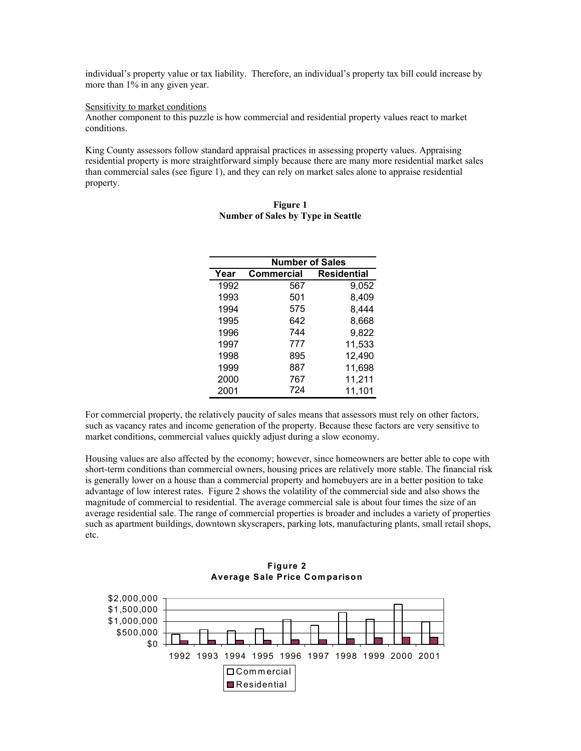individual's property value or tax liability. Therefore, an individual's property tax bill could increase by more than 1% in any given year.

#### Sensitivity to market conditions

Another component to this puzzle is how commercial and residential property values react to market conditions.

King County assessors follow standard appraisal practices in assessing property values. Appraising residential property is more straightforward simply because there are many more residential market sales than commercial sales (see figure 1), and they can rely on market sales alone to appraise residential property.

|      | <b>Number of Sales</b> |                    |
|------|------------------------|--------------------|
| Year | Commercial             | <b>Residential</b> |
| 1992 | 567                    | 9,052              |
| 1993 | 501                    | 8,409              |
| 1994 | 575                    | 8,444              |
| 1995 | 642                    | 8,668              |
| 1996 | 744                    | 9,822              |
| 1997 | 777                    | 11,533             |
| 1998 | 895                    | 12,490             |
| 1999 | 887                    | 11,698             |
| 2000 | 767                    | 11,211             |
| 2001 | 724                    | 11,101             |
|      |                        |                    |

### **Figure 1 Number of Sales by Type in Seattle**

For commercial property, the relatively paucity of sales means that assessors must rely on other factors, such as vacancy rates and income generation of the property. Because these factors are very sensitive to market conditions, commercial values quickly adjust during a slow economy.

Housing values are also affected by the economy; however, since homeowners are better able to cope with short-term conditions than commercial owners, housing prices are relatively more stable. The financial risk is generally lower on a house than a commercial property and homebuyers are in a better position to take advantage of low interest rates. Figure 2 shows the volatility of the commercial side and also shows the magnitude of commercial to residential. The average commercial sale is about four times the size of an average residential sale. The range of commercial properties is broader and includes a variety of properties such as apartment buildings, downtown skyscrapers, parking lots, manufacturing plants, small retail shops, etc.



**Figure 2 Average Sale Price Comparison**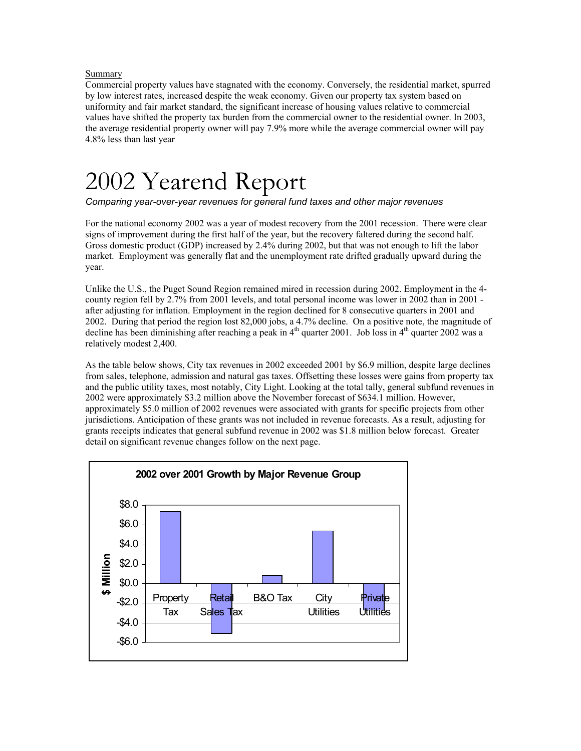## Summary

Commercial property values have stagnated with the economy. Conversely, the residential market, spurred by low interest rates, increased despite the weak economy. Given our property tax system based on uniformity and fair market standard, the significant increase of housing values relative to commercial values have shifted the property tax burden from the commercial owner to the residential owner. In 2003, the average residential property owner will pay 7.9% more while the average commercial owner will pay 4.8% less than last year

# 2002 Yearend Report

*Comparing year-over-year revenues for general fund taxes and other major revenues* 

For the national economy 2002 was a year of modest recovery from the 2001 recession. There were clear signs of improvement during the first half of the year, but the recovery faltered during the second half. Gross domestic product (GDP) increased by 2.4% during 2002, but that was not enough to lift the labor market. Employment was generally flat and the unemployment rate drifted gradually upward during the year.

Unlike the U.S., the Puget Sound Region remained mired in recession during 2002. Employment in the 4 county region fell by 2.7% from 2001 levels, and total personal income was lower in 2002 than in 2001 after adjusting for inflation. Employment in the region declined for 8 consecutive quarters in 2001 and 2002. During that period the region lost 82,000 jobs, a 4.7% decline. On a positive note, the magnitude of decline has been diminishing after reaching a peak in  $4<sup>th</sup>$  quarter 2001. Job loss in  $4<sup>th</sup>$  quarter 2002 was a relatively modest 2,400.

As the table below shows, City tax revenues in 2002 exceeded 2001 by \$6.9 million, despite large declines from sales, telephone, admission and natural gas taxes. Offsetting these losses were gains from property tax and the public utility taxes, most notably, City Light. Looking at the total tally, general subfund revenues in 2002 were approximately \$3.2 million above the November forecast of \$634.1 million. However, approximately \$5.0 million of 2002 revenues were associated with grants for specific projects from other jurisdictions. Anticipation of these grants was not included in revenue forecasts. As a result, adjusting for grants receipts indicates that general subfund revenue in 2002 was \$1.8 million below forecast. Greater detail on significant revenue changes follow on the next page.

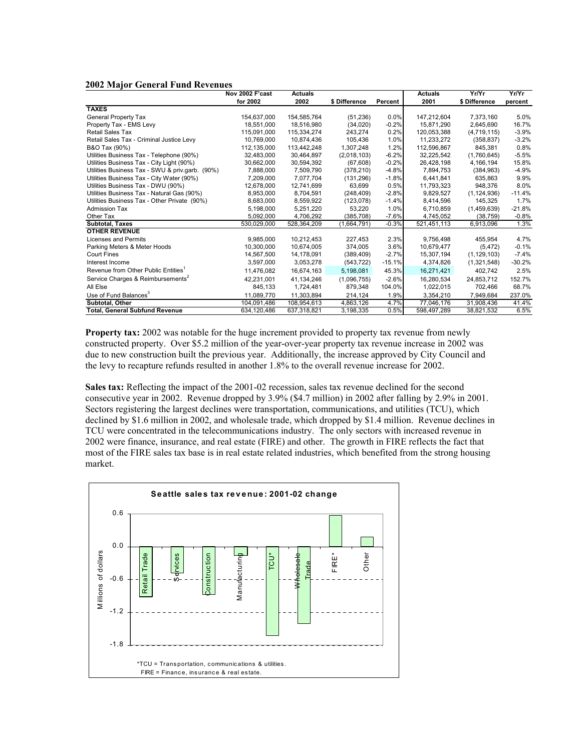#### **2002 Major General Fund Revenues**

|                                                 | Nov 2002 F'cast | <b>Actuals</b> |               |          | <b>Actuals</b> | Yr/Yr         | Yr/Yr    |
|-------------------------------------------------|-----------------|----------------|---------------|----------|----------------|---------------|----------|
|                                                 | for 2002        | 2002           | \$ Difference | Percent  | 2001           | \$ Difference | percent  |
| <b>TAXES</b>                                    |                 |                |               |          |                |               |          |
| General Property Tax                            | 154,637,000     | 154,585,764    | (51, 236)     | 0.0%     | 147,212,604    | 7,373,160     | 5.0%     |
| Property Tax - EMS Levy                         | 18.551.000      | 18.516.980     | (34,020)      | $-0.2%$  | 15.871.290     | 2.645.690     | 16.7%    |
| Retail Sales Tax                                | 115,091,000     | 115,334,274    | 243,274       | 0.2%     | 120,053,388    | (4,719,115)   | $-3.9%$  |
| Retail Sales Tax - Criminal Justice Levy        | 10.769.000      | 10.874.436     | 105,436       | 1.0%     | 11,233,272     | (358, 837)    | $-3.2%$  |
| B&O Tax (90%)                                   | 112,135,000     | 113,442,248    | 1,307,248     | 1.2%     | 112,596,867    | 845,381       | 0.8%     |
| Utilities Business Tax - Telephone (90%)        | 32.483.000      | 30.464.897     | (2,018,103)   | $-6.2%$  | 32,225,542     | (1,760,645)   | $-5.5%$  |
| Utilities Business Tax - City Light (90%)       | 30,662,000      | 30,594,392     | (67, 608)     | $-0.2%$  | 26,428,198     | 4,166,194     | 15.8%    |
| Utilities Business Tax - SWU & priv.garb. (90%) | 7,888,000       | 7,509,790      | (378, 210)    | $-4.8%$  | 7,894,753      | (384, 963)    | $-4.9%$  |
| Utilities Business Tax - City Water (90%)       | 7,209,000       | 7,077,704      | (131, 296)    | $-1.8%$  | 6,441,841      | 635,863       | 9.9%     |
| Utilities Business Tax - DWU (90%)              | 12.678.000      | 12,741,699     | 63,699        | 0.5%     | 11.793.323     | 948.376       | 8.0%     |
| Utilities Business Tax - Natural Gas (90%)      | 8,953,000       | 8,704,591      | (248, 409)    | $-2.8%$  | 9,829,527      | (1, 124, 936) | $-11.4%$ |
| Utilities Business Tax - Other Private (90%)    | 8.683.000       | 8.559.922      | (123, 078)    | $-1.4%$  | 8.414.596      | 145.325       | 1.7%     |
| Admission Tax                                   | 5,198,000       | 5,251,220      | 53,220        | 1.0%     | 6,710,859      | (1,459,639)   | $-21.8%$ |
| Other Tax                                       | 5.092.000       | 4,706,292      | (385.708)     | $-7.6%$  | 4,745,052      | (38.759)      | $-0.8%$  |
| Subtotal, Taxes                                 | 530,029,000     | 528,364,209    | (1,664,791)   | $-0.3%$  | 521,451,113    | 6,913,096     | 1.3%     |
| <b>OTHER REVENUE</b>                            |                 |                |               |          |                |               |          |
| Licenses and Permits                            | 9.985.000       | 10,212,453     | 227,453       | 2.3%     | 9,756,498      | 455,954       | 4.7%     |
| Parking Meters & Meter Hoods                    | 10,300,000      | 10,674,005     | 374.005       | 3.6%     | 10,679,477     | (5, 472)      | $-0.1%$  |
| <b>Court Fines</b>                              | 14,567,500      | 14,178,091     | (389, 409)    | $-2.7%$  | 15,307,194     | (1, 129, 103) | $-7.4%$  |
| Interest Income                                 | 3,597,000       | 3,053,278      | (543, 722)    | $-15.1%$ | 4,374,826      | (1,321,548)   | $-30.2%$ |
| Revenue from Other Public Entities <sup>1</sup> | 11.476.082      | 16,674,163     | 5,198,081     | 45.3%    | 16,271,421     | 402.742       | 2.5%     |
| Service Charges & Reimbursements <sup>2</sup>   | 42.231.001      | 41.134.246     | (1,096,755)   | $-2.6%$  | 16.280.534     | 24,853,712    | 152.7%   |
| All Else                                        | 845,133         | 1,724,481      | 879,348       | 104.0%   | 1,022,015      | 702,466       | 68.7%    |
| Use of Fund Balances <sup>3</sup>               | 11,089,770      | 11,303,894     | 214,124       | 1.9%     | 3,354,210      | 7,949,684     | 237.0%   |
| Subtotal, Other                                 | 104,091,486     | 108,954,613    | 4,863,126     | 4.7%     | 77,046,176     | 31,908,436    | 41.4%    |
| <b>Total, General Subfund Revenue</b>           | 634,120,486     | 637,318,821    | 3,198,335     | 0.5%     | 598,497,289    | 38,821,532    | 6.5%     |

**Property tax:** 2002 was notable for the huge increment provided to property tax revenue from newly constructed property. Over \$5.2 million of the year-over-year property tax revenue increase in 2002 was due to new construction built the previous year. Additionally, the increase approved by City Council and the levy to recapture refunds resulted in another 1.8% to the overall revenue increase for 2002.

**Sales tax:** Reflecting the impact of the 2001-02 recession, sales tax revenue declined for the second consecutive year in 2002. Revenue dropped by 3.9% (\$4.7 million) in 2002 after falling by 2.9% in 2001. Sectors registering the largest declines were transportation, communications, and utilities (TCU), which declined by \$1.6 million in 2002, and wholesale trade, which dropped by \$1.4 million. Revenue declines in TCU were concentrated in the telecommunications industry. The only sectors with increased revenue in 2002 were finance, insurance, and real estate (FIRE) and other. The growth in FIRE reflects the fact that most of the FIRE sales tax base is in real estate related industries, which benefited from the strong housing market.